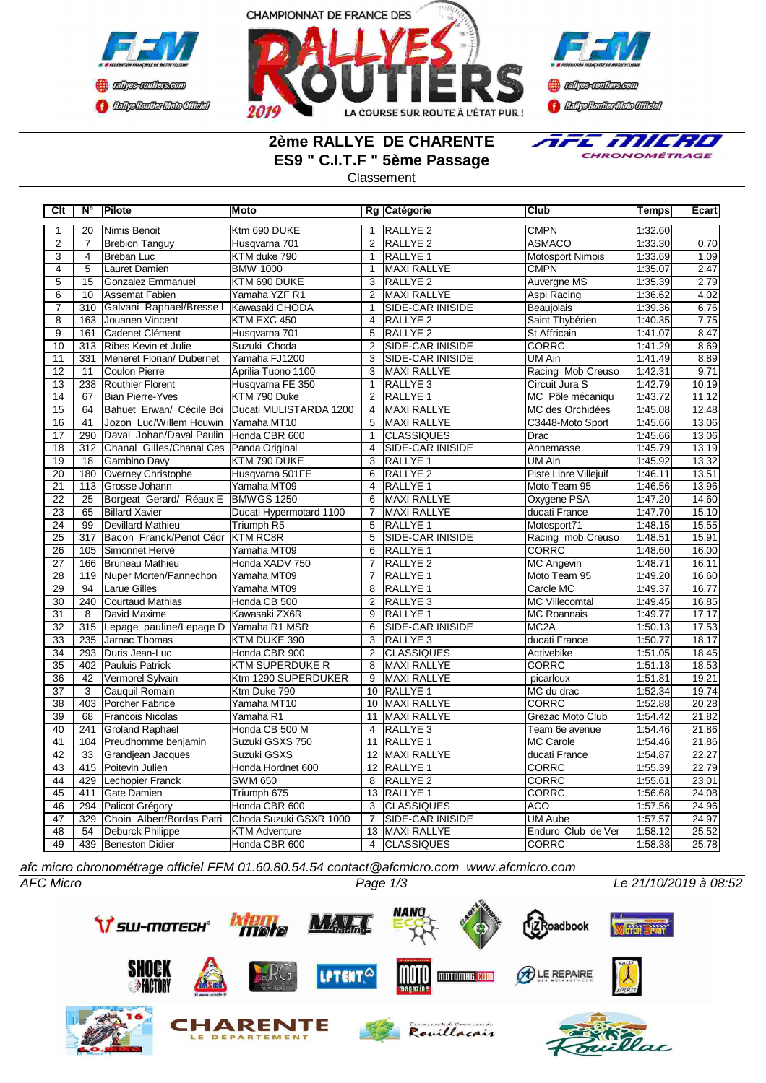





# **2ème RALLYE DE CHARENTE ES9 " C.I.T.F " 5ème Passage**



#### Classement

| C <sub>It</sub> | $N^{\circ}$      | Pilote                    | <b>Moto</b>             |                 | Rg Catégorie            | Club                    | Temps   | Ecart |
|-----------------|------------------|---------------------------|-------------------------|-----------------|-------------------------|-------------------------|---------|-------|
| 1               | 20               | Nimis Benoit              | Ktm 690 DUKE            | $\mathbf{1}$    | RALLYE <sub>2</sub>     | <b>CMPN</b>             | 1:32.60 |       |
| $\overline{2}$  | $\overline{7}$   | <b>Brebion Tanguy</b>     | Husqvarna 701           | $\overline{2}$  | <b>RALLYE 2</b>         | <b>ASMACO</b>           | 1:33.30 | 0.70  |
| 3               | 4                | <b>Breban Luc</b>         | KTM duke 790            | $\mathbf{1}$    | RALLYE <sub>1</sub>     | <b>Motosport Nimois</b> | 1:33.69 | 1.09  |
| 4               | 5                | Lauret Damien             | <b>BMW 1000</b>         | $\mathbf{1}$    | <b>MAXI RALLYE</b>      | <b>CMPN</b>             | 1:35.07 | 2.47  |
| $\overline{5}$  | $\overline{15}$  | Gonzalez Emmanuel         | KTM 690 DUKE            | 3               | <b>RALLYE 2</b>         | Auvergne MS             | 1:35.39 | 2.79  |
| $\overline{6}$  | $\overline{10}$  | Assemat Fabien            | Yamaha YZF R1           | $\overline{2}$  | <b>MAXI RALLYE</b>      | Aspi Racing             | 1:36.62 | 4.02  |
| $\overline{7}$  | 310              | Galvani Raphael/Bresse I  | Kawasaki CHODA          | $\mathbf{1}$    | SIDE-CAR INISIDE        | Beaujolais              | 1:39.36 | 6.76  |
| $\overline{8}$  | 163              | Jouanen Vincent           | KTM EXC 450             | $\overline{4}$  | RALLYE <sub>2</sub>     | Saint Thybérien         | 1:40.35 | 7.75  |
| $\overline{9}$  | 161              | Cadenet Clément           | Husqvarna 701           | 5               | <b>RALLYE 2</b>         | <b>St Affricain</b>     | 1:41.07 | 8.47  |
| 10              | 313              | Ribes Kevin et Julie      | Suzuki Choda            | $\overline{2}$  | SIDE-CAR INISIDE        | CORRC                   | 1:41.29 | 8.69  |
| 11              | 331              | Meneret Florian/Dubernet  | Yamaha FJ1200           | 3               | SIDE-CAR INISIDE        | UM Ain                  | 1:41.49 | 8.89  |
| 12              | 11               | Coulon Pierre             | Aprilia Tuono 1100      | $\overline{3}$  | <b>MAXI RALLYE</b>      | Racing Mob Creuso       | 1:42.31 | 9.71  |
| 13              | 238              | Routhier Florent          | Husqvarna FE 350        | $\mathbf{1}$    | RALLYE <sub>3</sub>     | Circuit Jura S          | 1:42.79 | 10.19 |
| 14              | 67               | <b>Bian Pierre-Yves</b>   | KTM 790 Duke            | $\overline{2}$  | RALLYE <sub>1</sub>     | MC Pôle mécaniqu        | 1:43.72 | 11.12 |
| $\overline{15}$ | 64               | Bahuet Erwan/ Cécile Boi  | Ducati MULISTARDA 1200  | $\overline{4}$  | <b>MAXI RALLYE</b>      | MC des Orchidées        | 1:45.08 | 12.48 |
| $\overline{16}$ | $\overline{41}$  | Jozon Luc/Willem Houwin   | Yamaha MT10             | $\overline{5}$  | <b>MAXI RALLYE</b>      | C3448-Moto Sport        | 1:45.66 | 13.06 |
| 17              | 290              | Daval Johan/Daval Paulin  | Honda CBR 600           | $\mathbf{1}$    | <b>CLASSIQUES</b>       | Drac                    | 1:45.66 | 13.06 |
| $\overline{18}$ | 312              | Chanal Gilles/Chanal Ces  | Panda Original          | $\overline{4}$  | SIDE-CAR INISIDE        | Annemasse               | 1:45.79 | 13.19 |
| 19              | 18               | Gambino Davy              | KTM 790 DUKE            | 3               | RALLYE <sub>1</sub>     | <b>UM Ain</b>           | 1:45.92 | 13.32 |
| 20              | 180              | Overney Christophe        | Husqvarna 501FE         | 6               | <b>RALLYE 2</b>         | Piste Libre Villejuif   | 1:46.11 | 13.51 |
| $\overline{21}$ | 113              | Grosse Johann             | Yamaha MT09             | 4               | RALLYE <sub>1</sub>     | Moto Team 95            | 1:46.56 | 13.96 |
| $\overline{22}$ | 25               | Borgeat Gerard/ Réaux E   | <b>BMWGS 1250</b>       | 6               | MAXI RALLYE             | Oxygene PSA             | 1:47.20 | 14.60 |
| $\overline{23}$ | 65               | <b>Billard Xavier</b>     | Ducati Hypermotard 1100 | $\overline{7}$  | <b>MAXI RALLYE</b>      | ducati France           | 1:47.70 | 15.10 |
| $\overline{24}$ | 99               | <b>Devillard Mathieu</b>  | Triumph R5              | $\overline{5}$  | <b>RALLYE 1</b>         | Motosport71             | 1:48.15 | 15.55 |
| $\overline{25}$ | $\overline{317}$ | Bacon Franck/Penot Cédr   | <b>KTM RC8R</b>         | $\overline{5}$  | <b>SIDE-CAR INISIDE</b> | Racing mob Creuso       | 1:48.51 | 15.91 |
| $\overline{26}$ | 105              | Simonnet Hervé            | Yamaha MT09             | 6               | <b>RALLYE 1</b>         | <b>CORRC</b>            | 1:48.60 | 16.00 |
| 27              | 166              | Bruneau Mathieu           | Honda XADV 750          | $\overline{7}$  | RALLYE <sub>2</sub>     | MC Angevin              | 1:48.71 | 16.11 |
| 28              | 119              | Nuper Morten/Fannechon    | Yamaha MT09             | 7               | RALLYE 1                | Moto Team 95            | 1:49.20 | 16.60 |
| 29              | 94               | <b>Larue Gilles</b>       | Yamaha MT09             | 8               | RALLYE 1                | Carole MC               | 1:49.37 | 16.77 |
| 30              | 240              | Courtaud Mathias          | Honda CB 500            | $\overline{2}$  | RALLYE <sub>3</sub>     | <b>MC Villecomtal</b>   | 1:49.45 | 16.85 |
| 31              | 8                | David Maxime              | Kawasaki ZX6R           | 9               | RALLYE <sub>1</sub>     | <b>MC Roannais</b>      | 1:49.77 | 17.17 |
| $\overline{32}$ | 315              | Lepage pauline/Lepage D   | Yamaha R1 MSR           | 6               | SIDE-CAR INISIDE        | MC <sub>2</sub> A       | 1:50.13 | 17.53 |
| 33              | 235              | Jarnac Thomas             | KTM DUKE 390            | $\overline{3}$  | RALLYE <sub>3</sub>     | ducati France           | 1:50.77 | 18.17 |
| $\overline{34}$ | 293              | <b>I</b> Duris Jean-Luc   | Honda CBR 900           | $\overline{2}$  | <b>CLASSIQUES</b>       | Activebike              | 1:51.05 | 18.45 |
| 35              | 402              | Pauluis Patrick           | <b>KTM SUPERDUKE R</b>  | 8               | <b>MAXI RALLYE</b>      | <b>CORRC</b>            | 1:51.13 | 18.53 |
| $\overline{36}$ | 42               | Vermorel Sylvain          | Ktm 1290 SUPERDUKER     | 9               | <b>MAXI RALLYE</b>      | picarloux               | 1:51.81 | 19.21 |
| 37              | 3                | Cauquil Romain            | Ktm Duke 790            | 10 <sup>°</sup> | RALLYE 1                | MC du drac              | 1:52.34 | 19.74 |
| 38              | 403              | Porcher Fabrice           | Yamaha MT10             | 10              | <b>MAXI RALLYE</b>      | <b>CORRC</b>            | 1:52.88 | 20.28 |
| 39              | 68               | <b>Francois Nicolas</b>   | Yamaha R1               | 11              | <b>MAXI RALLYE</b>      | Grezac Moto Club        | 1:54.42 | 21.82 |
| 40              | 241              | <b>Groland Raphael</b>    | Honda CB 500 M          | 4               | RALLYE 3                | Team 6e avenue          | 1:54.46 | 21.86 |
| 41              | 104              | Preudhomme benjamin       | Suzuki GSXS 750         | 11              | <b>RALLYE 1</b>         | <b>MC Carole</b>        | 1:54.46 | 21.86 |
| $\overline{42}$ | $\overline{33}$  | Grandjean Jacques         | Suzuki GSXS             | $\overline{12}$ | <b>MAXI RALLYE</b>      | ducati France           | 1:54.87 | 22.27 |
| 43              | 415              | Poitevin Julien           | Honda Hordnet 600       | $\overline{12}$ | <b>RALLYE 1</b>         | <b>CORRC</b>            | 1:55.39 | 22.79 |
| 44              | 429              | Lechopier Franck          | <b>SWM 650</b>          | 8               | <b>RALLYE 2</b>         | <b>CORRC</b>            | 1:55.61 | 23.01 |
| 45              | 411              | Gate Damien               | Triumph 675             | $\overline{13}$ | <b>RALLYE 1</b>         | <b>CORRC</b>            | 1:56.68 | 24.08 |
| 46              | 294              | Palicot Grégory           | Honda CBR 600           | 3               | <b>CLASSIQUES</b>       | <b>ACO</b>              | 1:57.56 | 24.96 |
| 47              | 329              | Choin Albert/Bordas Patri | Choda Suzuki GSXR 1000  | $\overline{7}$  | SIDE-CAR INISIDE        | <b>UM Aube</b>          | 1:57.57 | 24.97 |
| 48              | 54               | Deburck Philippe          | <b>KTM Adventure</b>    | 13              | <b>MAXI RALLYE</b>      | Enduro Club de Ver      | 1:58.12 | 25.52 |
| 49              | 439              | Beneston Didier           | Honda CBR 600           | $\overline{4}$  | <b>CLASSIQUES</b>       | <b>CORRC</b>            | 1:58.38 | 25.78 |

*afc micro chronométrage officiel FFM 01.60.80.54.54 contact@afcmicro.com www.afcmicro.com*

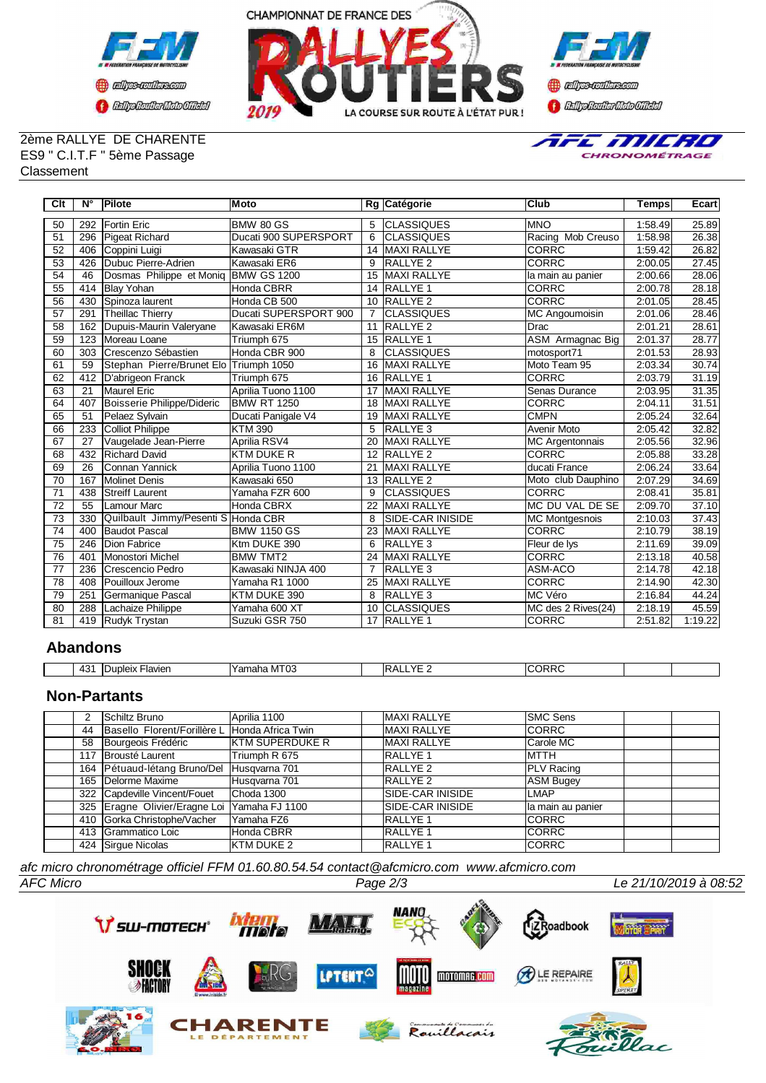



#### 2ème RALLYE DE CHARENTE ES9 " C.I.T.F " 5ème Passage Classement



| Clt             | N°  | Pilote                                 | Moto                  |                | Rg Catégorie             | <b>Club</b>             | <b>Temps</b> | Ecart   |
|-----------------|-----|----------------------------------------|-----------------------|----------------|--------------------------|-------------------------|--------------|---------|
| 50              | 292 | <b>IFortin Eric</b>                    | <b>BMW 80 GS</b>      | 5              | <b>ICLASSIQUES</b>       | <b>MNO</b>              | 1:58.49      | 25.89   |
| 51              | 296 | Pigeat Richard                         | Ducati 900 SUPERSPORT | 6              | <b>CLASSIQUES</b>        | Racing Mob Creuso       | 1:58.98      | 26.38   |
| 52              | 406 | Coppini Luigi                          | Kawasaki GTR          | 14             | <b>MAXI RALLYE</b>       | <b>CORRC</b>            | 1:59.42      | 26.82   |
| 53              | 426 | Dubuc Pierre-Adrien                    | Kawasaki ER6          | 9              | <b>RALLYE 2</b>          | <b>CORRC</b>            | 2:00.05      | 27.45   |
| $\overline{54}$ | 46  | Dosmas Philippe et Moniq               | <b>BMW GS 1200</b>    | 15             | <b>MAXI RALLYE</b>       | la main au panier       | 2:00.66      | 28.06   |
| 55              | 414 | <b>Blay Yohan</b>                      | <b>Honda CBRR</b>     | 14             | <b>RALLYE 1</b>          | <b>CORRC</b>            | 2:00.78      | 28.18   |
| 56              | 430 | Spinoza laurent                        | Honda CB 500          | 10             | <b>RALLYE 2</b>          | <b>CORRC</b>            | 2:01.05      | 28.45   |
| 57              | 291 | Theillac Thierry                       | Ducati SUPERSPORT 900 | $\overline{7}$ | <b>CLASSIQUES</b>        | MC Angoumoisin          | 2:01.06      | 28.46   |
| 58              | 162 | Dupuis-Maurin Valeryane                | Kawasaki ER6M         | 11             | <b>RALLYE 2</b>          | Drac                    | 2:01.21      | 28.61   |
| 59              | 123 | Moreau Loane                           | Triumph 675           | 15             | <b>RALLYE 1</b>          | <b>ASM</b> Armagnac Big | 2:01.37      | 28.77   |
| 60              | 303 | Crescenzo Sébastien                    | Honda CBR 900         | 8              | <b>CLASSIQUES</b>        | motosport71             | 2:01.53      | 28.93   |
| 61              | 59  | Stephan Pierre/Brunet Elo Triumph 1050 |                       | 16             | <b>MAXI RALLYE</b>       | Moto Team 95            | 2:03.34      | 30.74   |
| 62              | 412 | D'abrigeon Franck                      | Triumph 675           | 16             | <b>RALLYE 1</b>          | <b>CORRC</b>            | 2:03.79      | 31.19   |
| 63              | 21  | Maurel Eric                            | Aprilia Tuono 1100    | 17             | <b>MAXI RALLYE</b>       | Senas Durance           | 2:03.95      | 31.35   |
| 64              | 407 | Boisserie Philippe/Dideric             | BMW RT 1250           | 18             | <b>MAXI RALLYE</b>       | <b>CORRC</b>            | 2:04.11      | 31.51   |
| 65              | 51  | Pelaez Sylvain                         | Ducati Panigale V4    | 19             | <b>MAXI RALLYE</b>       | <b>CMPN</b>             | 2:05.24      | 32.64   |
| 66              | 233 | Colliot Philippe                       | <b>KTM 390</b>        | 5              | <b>RALLYE 3</b>          | Avenir Moto             | 2:05.42      | 32.82   |
| 67              | 27  | Vaugelade Jean-Pierre                  | Aprilia RSV4          | 20             | <b>MAXI RALLYE</b>       | <b>MC Argentonnais</b>  | 2:05.56      | 32.96   |
| 68              | 432 | <b>Richard David</b>                   | <b>KTM DUKE R</b>     | 12             | <b>RALLYE 2</b>          | <b>CORRC</b>            | 2:05.88      | 33.28   |
| 69              | 26  | Connan Yannick                         | Aprilia Tuono 1100    | 21             | <b>MAXI RALLYE</b>       | ducati France           | 2:06.24      | 33.64   |
| 70              | 167 | Molinet Denis                          | Kawasaki 650          | 13             | <b>RALLYE 2</b>          | Moto club Dauphino      | 2:07.29      | 34.69   |
| 71              | 438 | <b>Streiff Laurent</b>                 | Yamaha FZR 600        | 9              | <b>CLASSIQUES</b>        | <b>CORRC</b>            | 2:08.41      | 35.81   |
| $\overline{72}$ | 55  | <b>Lamour Marc</b>                     | Honda CBRX            | 22             | <b>MAXI RALLYE</b>       | MC DU VAL DE SE         | 2:09.70      | 37.10   |
| 73              | 330 | Quilbault Jimmy/Pesenti S Honda CBR    |                       | 8              | <b>ISIDE-CAR INISIDE</b> | MC Montgesnois          | 2:10.03      | 37.43   |
| $\overline{74}$ | 400 | Baudot Pascal                          | <b>BMW 1150 GS</b>    | 23             | <b>MAXI RALLYE</b>       | <b>CORRC</b>            | 2:10.79      | 38.19   |
| 75              | 246 | Dion Fabrice                           | Ktm DUKE 390          | 6              | <b>RALLYE 3</b>          | Fleur de lys            | 2:11.69      | 39.09   |
| 76              | 401 | Monostori Michel                       | <b>BMW TMT2</b>       | 24             | <b>MAXI RALLYE</b>       | <b>CORRC</b>            | 2:13.18      | 40.58   |
| $\overline{77}$ | 236 | Crescencio Pedro                       | Kawasaki NINJA 400    | 7              | <b>RALLYE 3</b>          | ASM-ACO                 | 2:14.78      | 42.18   |
| 78              | 408 | Pouilloux Jerome                       | Yamaha R1 1000        | 25             | <b>MAXI RALLYE</b>       | <b>CORRC</b>            | 2:14.90      | 42.30   |
| 79              | 251 | Germanique Pascal                      | KTM DUKE 390          | 8              | <b>RALLYE 3</b>          | <b>IMC Véro</b>         | 2:16.84      | 44.24   |
| 80              | 288 | Lachaize Philippe                      | Yamaha 600 XT         | 10             | <b>CLASSIQUES</b>        | MC des 2 Rives(24)      | 2:18.19      | 45.59   |
| 81              | 419 | Rudyk Trystan                          | Suzuki GSR 750        |                | 17 RALLYE 1              | <b>CORRC</b>            | 2:51.82      | 1:19.22 |

# **Abandons**

| 101<br>$\overline{\phantom{a}}$<br>™ | -lavien<br>$m \sim$<br>ᅫᄗᄉ<br>. | <br>--<br>n r<br>l Vomobr<br>ramana<br>าบฉ<br>I IVI | IF<br>VL<br>ΆI | `n n<br>-<br>$\mathbf{v}$ |  |
|--------------------------------------|---------------------------------|-----------------------------------------------------|----------------|---------------------------|--|

# **Non-Partants**

|    | <b>Schiltz Bruno</b>                          | Aprilia 1100            | <b>MAXI RALLYE</b>       | <b>ISMC Sens</b>   |
|----|-----------------------------------------------|-------------------------|--------------------------|--------------------|
| 44 | Basello Florent/Forillère L Honda Africa Twin |                         | <b>MAXI RALLYE</b>       | <b>ICORRC</b>      |
| 58 | Bourgeois Frédéric                            | <b>IKTM SUPERDUKE R</b> | <b>MAXI RALLYE</b>       | Carole MC          |
|    | 117 Brousté Laurent                           | Triumph R 675           | <b>RALLYE 1</b>          | <b>IMTTH</b>       |
|    | 164 Pétuaud-létang Bruno/Del                  | Husqvarna 701           | RALLYE <sub>2</sub>      | <b>PLV</b> Racing  |
|    | 165 Delorme Maxime                            | Husqvarna 701           | RALLYE <sub>2</sub>      | <b>ASM Bugey</b>   |
|    | 322 Capdeville Vincent/Fouet                  | Choda 1300              | <b>SIDE-CAR INISIDE</b>  | <b>ILMAP</b>       |
|    | 325 Eragne Olivier/Eragne Loi Yamaha FJ 1100  |                         | <b>ISIDE-CAR INISIDE</b> | lla main au panier |
|    | 410 Gorka Christophe/Vacher                   | Yamaha FZ6              | <b>RALLYE 1</b>          | <b>ICORRC</b>      |
|    | 413 Grammatico Loic                           | Honda CBRR              | <b>RALLYE 1</b>          | <b>ICORRC</b>      |
|    | 424 Sirgue Nicolas                            | <b>KTM DUKE 2</b>       | <b>IRALLYE 1</b>         | <b>ICORRC</b>      |

*afc micro chronométrage officiel FFM 01.60.80.54.54 contact@afcmicro.com www.afcmicro.com*